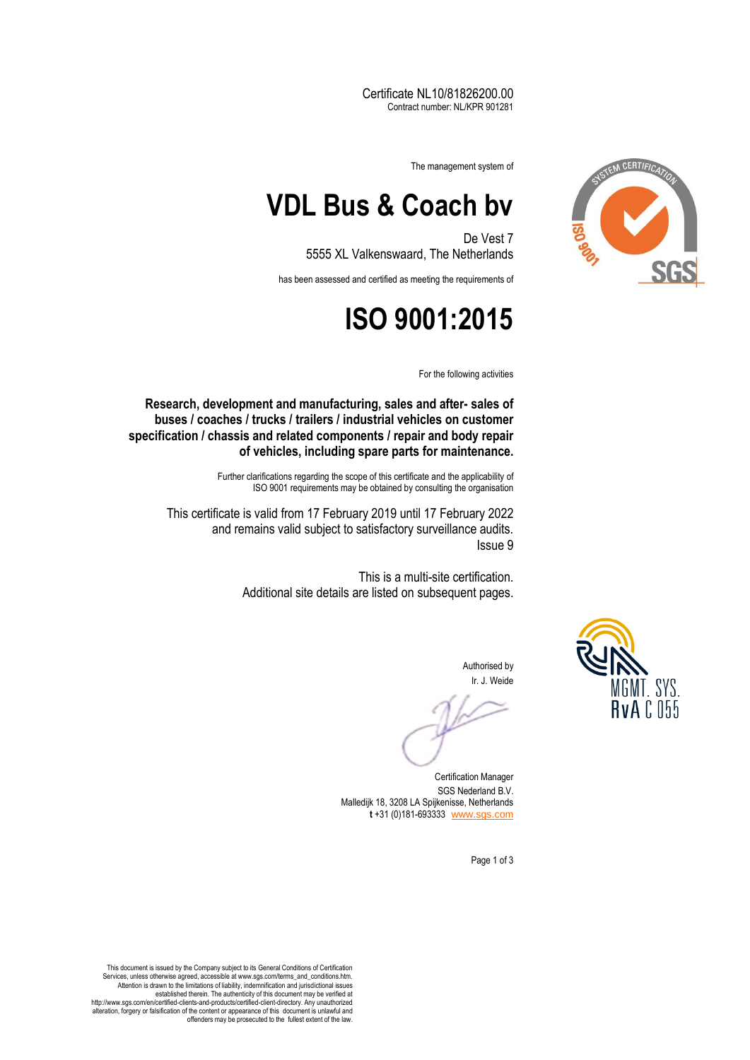Certificate NL10/81826200.00 Contract number: NL/KPR 901281



The management system of

## **VDL Bus & Coach bv**

De Vest 7 5555 XL Valkenswaard, The Netherlands

has been assessed and certified as meeting the requirements of

## **ISO 9001:2015**

For the following activities

**Research, development and manufacturing, sales and after- sales of buses / coaches / trucks / trailers / industrial vehicles on customer specification / chassis and related components / repair and body repair of vehicles, including spare parts for maintenance.**

> Further clarifications regarding the scope of this certificate and the applicability of ISO 9001 requirements may be obtained by consulting the organisation

This certificate is valid from 17 February 2019 until 17 February 2022 and remains valid subject to satisfactory surveillance audits. Issue 9

> This is a multi-site certification. Additional site details are listed on subsequent pages.



Authorised by Ir. J. Weide

Certification Manager SGS Nederland B.V. Malledijk 18, 3208 LA Spijkenisse, Netherlands **t** +31 (0)181-693333 [www.sgs.com](http://www.sgs.com/)

Page 1 of 3

This document is issued by the Company subject to its General Conditions of Certification Services, unless otherwise agreed, accessible at www.sgs.com/terms\_and\_conditions.htm. Attention is drawn to the limitations of liability, indemnification and jurisdictional issues established therein. The authenticity of this document may be verified at http://www.sgs.com/en/certified-clients-and-products/certified-client-directory. Any unauthorized alteration, forgery or falsification of the content or appearance of this document is unlawful and offenders may be prosecuted to the fullest extent of the law.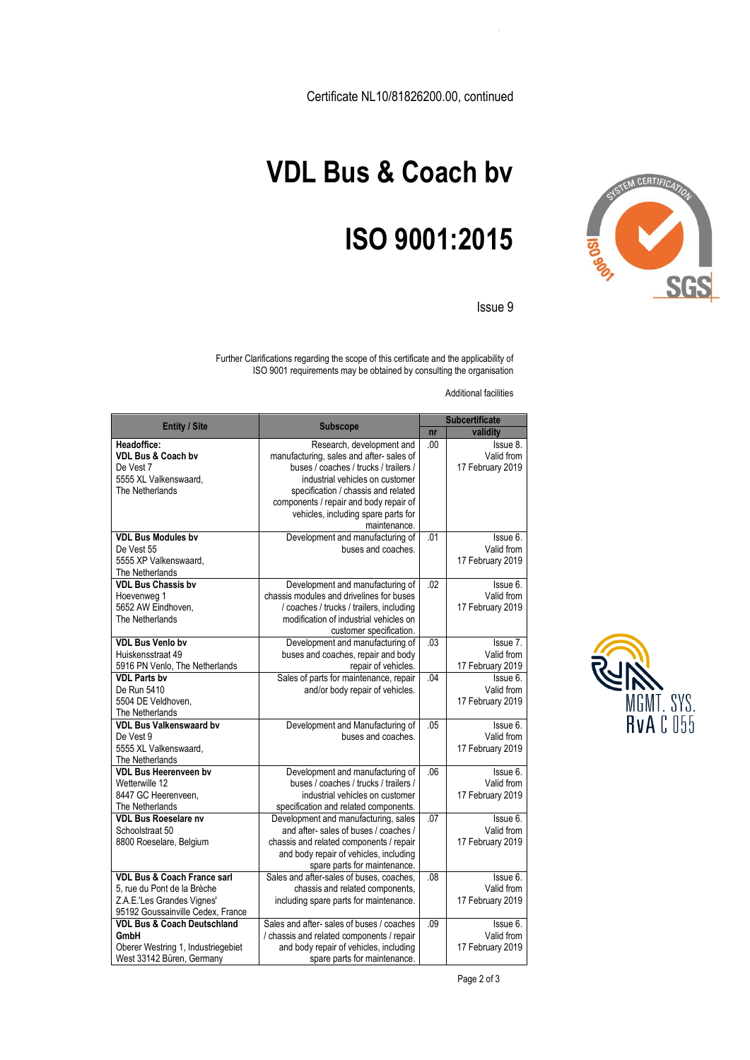Certificate NL10/81826200.00, continued



## **VDL Bus & Coach bv**

## **ISO 9001:2015**

Issue 9

Further Clarifications regarding the scope of this certificate and the applicability of ISO 9001 requirements may be obtained by consulting the organisation

Additional facilities

| <b>Entity / Site</b>                                                                                                                     | <b>Subscope</b>                                                                                                                                                                                   | <b>Subcertificate</b> |                                            |
|------------------------------------------------------------------------------------------------------------------------------------------|---------------------------------------------------------------------------------------------------------------------------------------------------------------------------------------------------|-----------------------|--------------------------------------------|
|                                                                                                                                          |                                                                                                                                                                                                   | n <b>r</b>            | validity                                   |
| Headoffice:<br><b>VDL Bus &amp; Coach by</b>                                                                                             | Research, development and<br>manufacturing, sales and after-sales of                                                                                                                              | .00                   | Issue 8.<br>Valid from                     |
| De Vest 7<br>5555 XL Valkenswaard,<br>The Netherlands                                                                                    | buses / coaches / trucks / trailers /<br>industrial vehicles on customer<br>specification / chassis and related                                                                                   |                       | 17 February 2019                           |
|                                                                                                                                          | components / repair and body repair of<br>vehicles, including spare parts for<br>maintenance.                                                                                                     |                       |                                            |
| <b>VDL Bus Modules by</b><br>De Vest 55<br>5555 XP Valkenswaard,<br>The Netherlands                                                      | Development and manufacturing of<br>buses and coaches.                                                                                                                                            | .01                   | Issue 6.<br>Valid from<br>17 February 2019 |
| <b>VDL Bus Chassis by</b><br>Hoevenweg 1<br>5652 AW Eindhoven.<br>The Netherlands                                                        | Development and manufacturing of<br>chassis modules and drivelines for buses<br>/ coaches / trucks / trailers, including<br>modification of industrial vehicles on<br>customer specification.     | .02                   | Issue 6.<br>Valid from<br>17 February 2019 |
| <b>VDL Bus Venlo bv</b><br>Huiskensstraat 49<br>5916 PN Venlo, The Netherlands                                                           | Development and manufacturing of<br>buses and coaches, repair and body<br>repair of vehicles.                                                                                                     | .03                   | Issue 7.<br>Valid from<br>17 February 2019 |
| <b>VDL Parts bv</b><br>De Run 5410<br>5504 DE Veldhoven.<br>The Netherlands                                                              | Sales of parts for maintenance, repair<br>and/or body repair of vehicles.                                                                                                                         | .04                   | Issue 6.<br>Valid from<br>17 February 2019 |
| <b>VDL Bus Valkenswaard by</b><br>De Vest 9<br>5555 XL Valkenswaard,<br>The Netherlands                                                  | Development and Manufacturing of<br>buses and coaches.                                                                                                                                            | .05                   | lssue 6.<br>Valid from<br>17 February 2019 |
| <b>VDL Bus Heerenveen by</b><br>Wetterwille 12<br>8447 GC Heerenveen.<br>The Netherlands                                                 | Development and manufacturing of<br>buses / coaches / trucks / trailers /<br>industrial vehicles on customer<br>specification and related components.                                             | .06                   | lssue 6.<br>Valid from<br>17 February 2019 |
| <b>VDL Bus Roeselare nv</b><br>Schoolstraat 50<br>8800 Roeselare, Belgium                                                                | Development and manufacturing, sales<br>and after-sales of buses / coaches /<br>chassis and related components / repair<br>and body repair of vehicles, including<br>spare parts for maintenance. | .07                   | Issue 6.<br>Valid from<br>17 February 2019 |
| <b>VDL Bus &amp; Coach France sarl</b><br>5, rue du Pont de la Brèche<br>Z.A.E.'Les Grandes Vignes'<br>95192 Goussainville Cedex, France | Sales and after-sales of buses, coaches,<br>chassis and related components,<br>including spare parts for maintenance.                                                                             | .08                   | Issue 6.<br>Valid from<br>17 February 2019 |
| <b>VDL Bus &amp; Coach Deutschland</b><br>GmbH<br>Oberer Westring 1, Industriegebiet<br>West 33142 Büren, Germany                        | Sales and after- sales of buses / coaches<br>/ chassis and related components / repair<br>and body repair of vehicles, including<br>spare parts for maintenance.                                  | .09                   | Issue 6.<br>Valid from<br>17 February 2019 |



Page 2 of 3